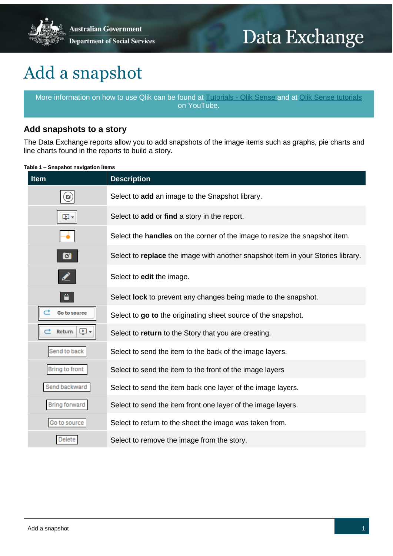

# Data Exchange

# Add a snapshot

More information on how to use Qlik can be found at [Tutorials -](https://help.qlik.com/en-US/sense/2.2/Content/Tutorials.htm) Qlik Sense and at [Qlik Sense tutorials](http://www.bing.com/videos/search?q=qlik+sense+tutorials+youtube&qpvt=qlik+sense+tutorials+youtube&FORM=VDRE) on YouTube.

## **Add snapshots to a story**

The Data Exchange reports allow you to add snapshots of the image items such as graphs, pie charts and line charts found in the reports to build a story.

**Table 1 – Snapshot navigation items** 

| <b>Item</b>                         | <b>Description</b>                                                                |
|-------------------------------------|-----------------------------------------------------------------------------------|
| $\boldsymbol{\left[ \circ \right]}$ | Select to add an image to the Snapshot library.                                   |
| Ļ,                                  | Select to add or find a story in the report.                                      |
|                                     | Select the <b>handles</b> on the corner of the image to resize the snapshot item. |
| $\bullet$                           | Select to replace the image with another snapshot item in your Stories library.   |
|                                     | Select to edit the image.                                                         |
|                                     | Select <b>lock</b> to prevent any changes being made to the snapshot.             |
| Go to source                        | Select to go to the originating sheet source of the snapshot.                     |
| Ļ,<br>Return                        | Select to return to the Story that you are creating.                              |
| Send to back                        | Select to send the item to the back of the image layers.                          |
| Bring to front                      | Select to send the item to the front of the image layers                          |
| Send backward                       | Select to send the item back one layer of the image layers.                       |
| <b>Bring forward</b>                | Select to send the item front one layer of the image layers.                      |
| Go to source                        | Select to return to the sheet the image was taken from.                           |
| Delete                              | Select to remove the image from the story.                                        |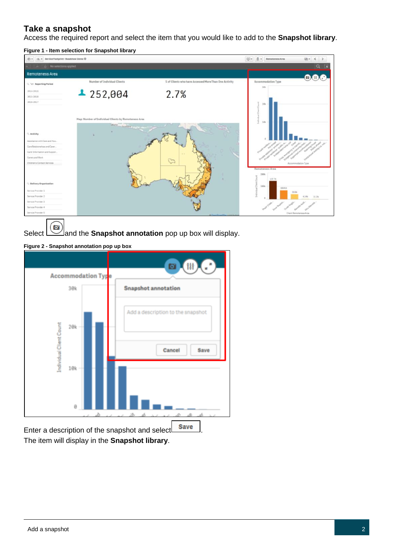## **Take a snapshot**

Access the required report and select the item that you would like to add to the **Snapshot library**.

**Figure 1 - Item selection for Snapshot library**



Select  $\Box$  and the **Snapshot annotation** pop up box will display.

**Figure 2 - Snapshot annotation pop up box**



The item will display in the **Snapshot library**.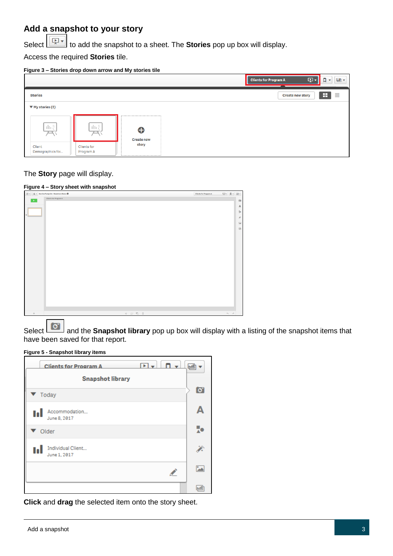## **Add a snapshot to your story**

Select to add the snapshot to a sheet. The **Stories** pop up box will display.

Access the required **Stories** tile.

#### **Figure 3 – Stories drop down arrow and My stories tile**



### The **Story** page will display.

#### **Figure 4 – Story sheet with snapshot**

| $\boxed{\odot}$ $\ast$ $\boxed{\equiv}$ $\ast$ Service Footprint - Roadshow Demo $\bullet$ | <b>Clients for Program A</b> | 中 日 日 |                   |                                 |
|--------------------------------------------------------------------------------------------|------------------------------|-------|-------------------|---------------------------------|
| Clients for Program A<br>$\mathbf{F}$                                                      |                              |       |                   | $\boxdot$                       |
|                                                                                            |                              |       |                   | $\mathbb A$                     |
|                                                                                            |                              |       |                   | $\frac{\pi}{\lambda}\mathbf{e}$ |
|                                                                                            |                              |       |                   | $\tilde{\mathcal{E}}$           |
|                                                                                            |                              |       |                   |                                 |
|                                                                                            |                              |       |                   | $\Xi$                           |
|                                                                                            |                              |       |                   | $\boxplus$                      |
|                                                                                            |                              |       |                   |                                 |
|                                                                                            |                              |       |                   |                                 |
|                                                                                            |                              |       |                   |                                 |
|                                                                                            |                              |       |                   |                                 |
|                                                                                            |                              |       |                   |                                 |
|                                                                                            |                              |       |                   |                                 |
|                                                                                            |                              |       |                   |                                 |
|                                                                                            |                              |       |                   |                                 |
|                                                                                            |                              |       |                   |                                 |
|                                                                                            |                              |       |                   |                                 |
|                                                                                            |                              |       |                   |                                 |
|                                                                                            |                              |       |                   |                                 |
|                                                                                            |                              |       |                   |                                 |
|                                                                                            |                              |       |                   |                                 |
|                                                                                            |                              |       |                   |                                 |
| $*$ $0$ $6$ $8$<br>$\! +$                                                                  |                              |       | $\phi_1 = \phi_2$ |                                 |
|                                                                                            |                              |       |                   |                                 |

Select **C** and the **Snapshot library** pop up box will display with a listing of the snapshot items that have been saved for that report.

#### **Figure 5 - Snapshot library items**

| ஈ⊮<br>$\mathbf{v}$<br><b>Clients for Program A</b> | السا           |
|----------------------------------------------------|----------------|
| <b>Snapshot library</b>                            | $\overline{S}$ |
| Today                                              |                |
| Accommodation<br>ы<br>June 8, 2017                 |                |
| Older                                              | н.             |
| Individual Client<br>ы<br>June 1, 2017             | J.             |
| ╱                                                  | ß.             |
|                                                    | lull           |

**Click** and **drag** the selected item onto the story sheet.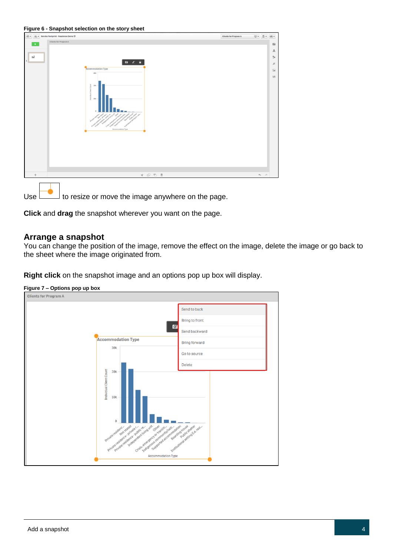|  | Figure 6 - Snapshot selection on the story sheet |  |  |
|--|--------------------------------------------------|--|--|
|  |                                                  |  |  |



Use  $\Box$  to resize or move the image anywhere on the page.

**Click** and **drag** the snapshot wherever you want on the page.

## **Arrange a snapshot**

You can change the position of the image, remove the effect on the image, delete the image or go back to the sheet where the image originated from.

**Right click** on the snapshot image and an options pop up box will display.



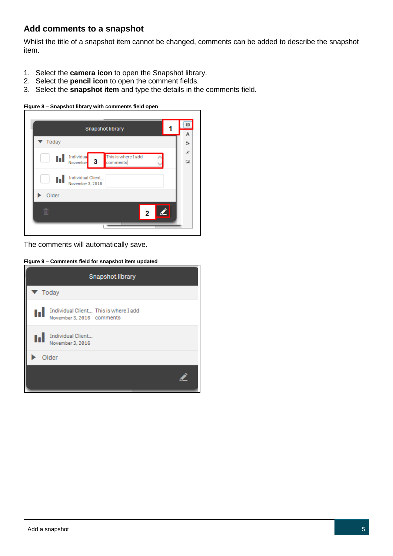## **Add comments to a snapshot**

Whilst the title of a snapshot item cannot be changed, comments can be added to describe the snapshot item.

- 1. Select the **camera icon** to open the Snapshot library.
- 2. Select the **pencil icon** to open the comment fields.
- 3. Select the **snapshot item** and type the details in the comments field.

**Figure 8 – Snapshot library with comments field open**

| ы     | Individua<br>This is where I add<br>-3<br>comments<br>November |  |
|-------|----------------------------------------------------------------|--|
| t, l  | Individual Client<br>November 3, 2016                          |  |
| Older |                                                                |  |

The comments will automatically save.

**Figure 9 – Comments field for snapshot item updated**

| Snapshot library           |                                                                    |  |  |  |
|----------------------------|--------------------------------------------------------------------|--|--|--|
| $\blacktriangledown$ Today |                                                                    |  |  |  |
|                            | Individual Client This is where I add<br>November 3, 2016 comments |  |  |  |
|                            | Individual Client<br>November 3, 2016                              |  |  |  |
|                            | Older                                                              |  |  |  |
|                            |                                                                    |  |  |  |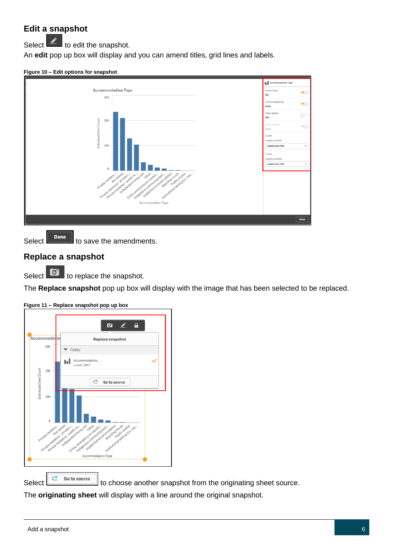# **Edit a snapshot**

Select  $\left| \right\rangle$  to edit the snapshot.

An **edit** pop up box will display and you can amend titles, grid lines and labels.

**Figure 10 – Edit options for snapshot**



Select  $\left\| \begin{array}{c} \text{Done} \\ \text{Ito save the amendments.} \end{array} \right\|$ 

# **Replace a snapshot**

Select  $\overline{\bullet}$  to replace the snapshot.

The **Replace snapshot** pop up box will display with the image that has been selected to be replaced.



**Figure 11 – Replace snapshot pop up box**

Select  $\left[\begin{array}{ccc} \hline \begin{array}{ccc} \hline \mathbf{c} & \mathbf{Go to source} \end{array} \end{array}\right]$  to choose another snapshot from the originating sheet source.

The **originating sheet** will display with a line around the original snapshot.